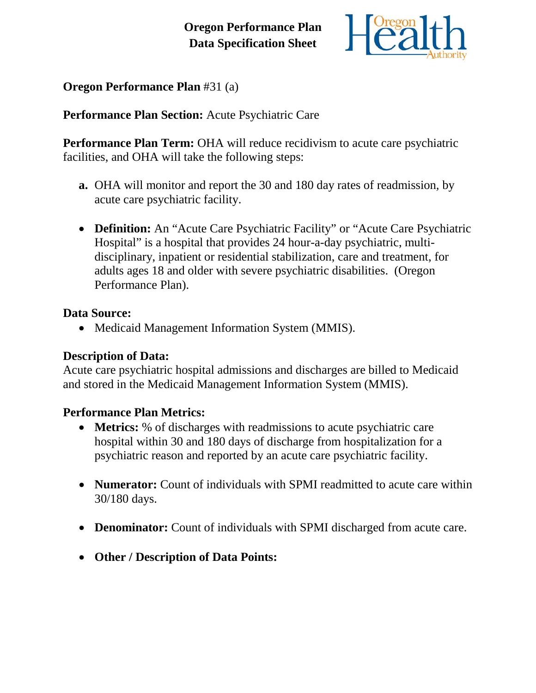

**Oregon Performance Plan** #31 (a)

**Performance Plan Section:** Acute Psychiatric Care

**Performance Plan Term:** OHA will reduce recidivism to acute care psychiatric facilities, and OHA will take the following steps:

- **a.** OHA will monitor and report the 30 and 180 day rates of readmission*,* by acute care psychiatric facility.
- **Definition:** An "Acute Care Psychiatric Facility" or "Acute Care Psychiatric Hospital" is a hospital that provides 24 hour-a-day psychiatric, multidisciplinary, inpatient or residential stabilization, care and treatment, for adults ages 18 and older with severe psychiatric disabilities. (Oregon Performance Plan).

## **Data Source:**

• Medicaid Management Information System (MMIS).

## **Description of Data:**

Acute care psychiatric hospital admissions and discharges are billed to Medicaid and stored in the Medicaid Management Information System (MMIS).

## **Performance Plan Metrics:**

- **Metrics:** % of discharges with readmissions to acute psychiatric care hospital within 30 and 180 days of discharge from hospitalization for a psychiatric reason and reported by an acute care psychiatric facility.
- **Numerator:** Count of individuals with SPMI readmitted to acute care within 30/180 days.
- **Denominator:** Count of individuals with SPMI discharged from acute care.
- **Other / Description of Data Points:**